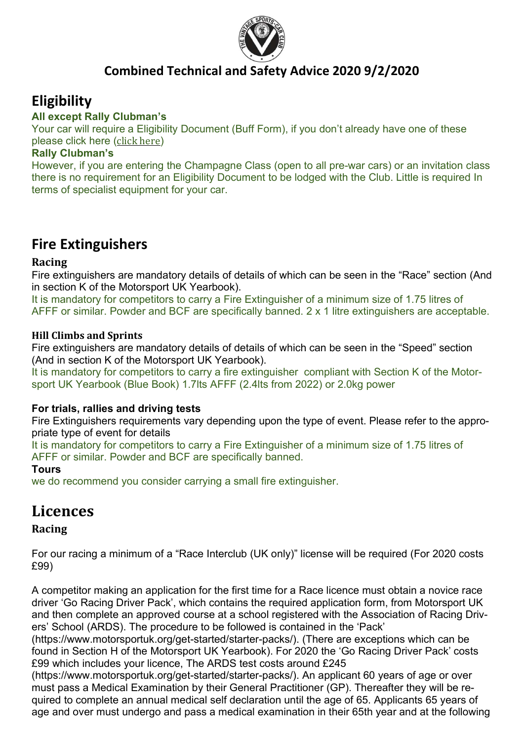

### Combined Technical and Safety Advice 2020 9/2/2020

## **Eligibility**

#### All except Rally Clubman's

Your car will require a Eligibility Document (Buff Form), if you don't already have one of these please click here (click here)

#### Rally Clubman's

However, if you are entering the Champagne Class (open to all pre-war cars) or an invitation class there is no requirement for an Eligibility Document to be lodged with the Club. Little is required In terms of specialist equipment for your car.

## Fire Extinguishers

#### Racing

Fire extinguishers are mandatory details of details of which can be seen in the "Race" section (And in section K of the Motorsport UK Yearbook).

It is mandatory for competitors to carry a Fire Extinguisher of a minimum size of 1.75 litres of AFFF or similar. Powder and BCF are specifically banned. 2 x 1 litre extinguishers are acceptable.

#### Hill Climbs and Sprints

Fire extinguishers are mandatory details of details of which can be seen in the "Speed" section (And in section K of the Motorsport UK Yearbook).

It is mandatory for competitors to carry a fire extinguisher compliant with Section K of the Motorsport UK Yearbook (Blue Book) 1.7lts AFFF (2.4lts from 2022) or 2.0kg power

#### For trials, rallies and driving tests

Fire Extinguishers requirements vary depending upon the type of event. Please refer to the appropriate type of event for details

It is mandatory for competitors to carry a Fire Extinguisher of a minimum size of 1.75 litres of AFFF or similar. Powder and BCF are specifically banned.

#### Tours

we do recommend you consider carrying a small fire extinguisher.

### **Licences**

#### Racing

For our racing a minimum of a "Race Interclub (UK only)" license will be required (For 2020 costs £99)

A competitor making an application for the first time for a Race licence must obtain a novice race driver 'Go Racing Driver Pack', which contains the required application form, from Motorsport UK and then complete an approved course at a school registered with the Association of Racing Drivers' School (ARDS). The procedure to be followed is contained in the 'Pack'

(https://www.motorsportuk.org/get-started/starter-packs/). (There are exceptions which can be found in Section H of the Motorsport UK Yearbook). For 2020 the 'Go Racing Driver Pack' costs £99 which includes your licence, The ARDS test costs around £245

(https://www.motorsportuk.org/get-started/starter-packs/). An applicant 60 years of age or over must pass a Medical Examination by their General Practitioner (GP). Thereafter they will be required to complete an annual medical self declaration until the age of 65. Applicants 65 years of age and over must undergo and pass a medical examination in their 65th year and at the following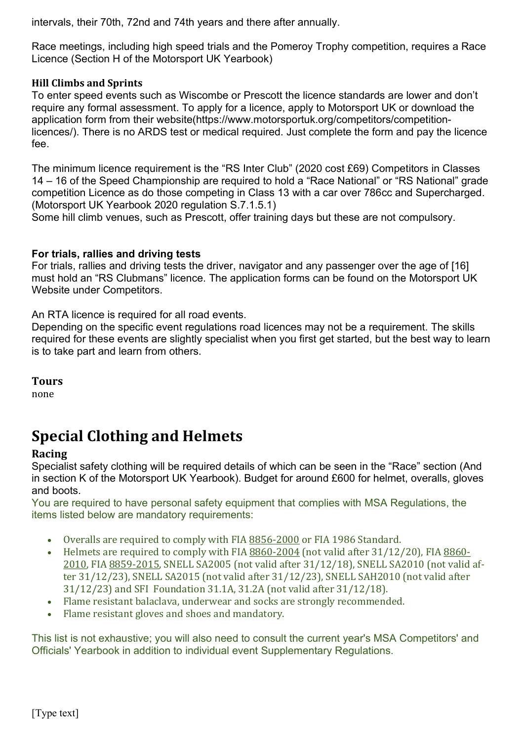intervals, their 70th, 72nd and 74th years and there after annually.

Race meetings, including high speed trials and the Pomeroy Trophy competition, requires a Race Licence (Section H of the Motorsport UK Yearbook)

#### Hill Climbs and Sprints

To enter speed events such as Wiscombe or Prescott the licence standards are lower and don't require any formal assessment. To apply for a licence, apply to Motorsport UK or download the application form from their website(https://www.motorsportuk.org/competitors/competitionlicences/). There is no ARDS test or medical required. Just complete the form and pay the licence fee.

The minimum licence requirement is the "RS Inter Club" (2020 cost £69) Competitors in Classes 14 – 16 of the Speed Championship are required to hold a "Race National" or "RS National" grade competition Licence as do those competing in Class 13 with a car over 786cc and Supercharged. (Motorsport UK Yearbook 2020 regulation S.7.1.5.1)

Some hill climb venues, such as Prescott, offer training days but these are not compulsory.

#### For trials, rallies and driving tests

For trials, rallies and driving tests the driver, navigator and any passenger over the age of [16] must hold an "RS Clubmans" licence. The application forms can be found on the Motorsport UK Website under Competitors.

An RTA licence is required for all road events.

Depending on the specific event regulations road licences may not be a requirement. The skills required for these events are slightly specialist when you first get started, but the best way to learn is to take part and learn from others.

#### Tours

none

# Special Clothing and Helmets

#### Racing

Specialist safety clothing will be required details of which can be seen in the "Race" section (And in section K of the Motorsport UK Yearbook). Budget for around £600 for helmet, overalls, gloves and boots.

You are required to have personal safety equipment that complies with MSA Regulations, the items listed below are mandatory requirements:

- Overalls are required to comply with FIA 8856-2000 or FIA 1986 Standard.
- Helmets are required to comply with FIA 8860-2004 (not valid after 31/12/20), FIA 8860-2010, FIA 8859-2015, SNELL SA2005 (not valid after 31/12/18), SNELL SA2010 (not valid after 31/12/23), SNELL SA2015 (not valid after 31/12/23), SNELL SAH2010 (not valid after 31/12/23) and SFI Foundation 31.1A, 31.2A (not valid after 31/12/18).
- Flame resistant balaclava, underwear and socks are strongly recommended.
- Flame resistant gloves and shoes and mandatory.

This list is not exhaustive; you will also need to consult the current year's MSA Competitors' and Officials' Yearbook in addition to individual event Supplementary Regulations.